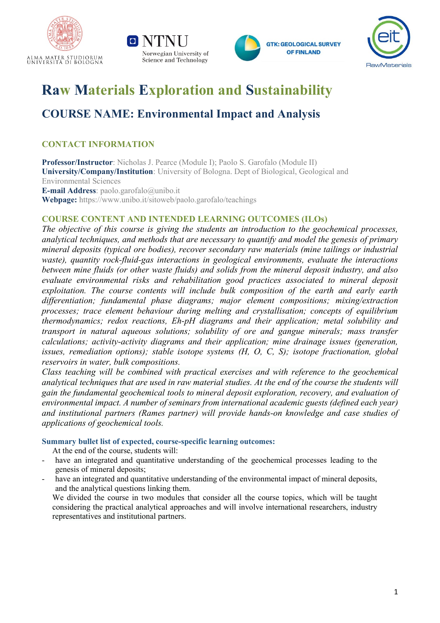







# **Raw Materials Exploration and Sustainability**

# **COURSE NAME: Environmental Impact and Analysis**

# **CONTACT INFORMATION**

**Professor/Instructor**: Nicholas J. Pearce (Module I); Paolo S. Garofalo (Module II) **University/Company/Institution**: University of Bologna. Dept of Biological, Geological and Environmental Sciences **E-mail Address**: paolo.garofalo@unibo.it **Webpage:** https://www.unibo.it/sitoweb/paolo.garofalo/teachings

## **COURSE CONTENT AND INTENDED LEARNING OUTCOMES (ILOs)**

*The objective of this course is giving the students an introduction to the geochemical processes, analytical techniques, and methods that are necessary to quantify and model the genesis of primary mineral deposits (typical ore bodies), recover secondary raw materials (mine tailings or industrial waste), quantity rock-fluid-gas interactions in geological environments, evaluate the interactions between mine fluids (or other waste fluids) and solids from the mineral deposit industry, and also evaluate environmental risks and rehabilitation good practices associated to mineral deposit exploitation. The course contents will include bulk composition of the earth and early earth differentiation; fundamental phase diagrams; major element compositions; mixing/extraction processes; trace element behaviour during melting and crystallisation; concepts of equilibrium thermodynamics; redox reactions, Eh-pH diagrams and their application; metal solubility and transport in natural aqueous solutions; solubility of ore and gangue minerals; mass transfer calculations; activity-activity diagrams and their application; mine drainage issues (generation, issues, remediation options); stable isotope systems (H, O, C, S); isotope fractionation, global reservoirs in water, bulk compositions.*

*Class teaching will be combined with practical exercises and with reference to the geochemical* analytical techniques that are used in raw material studies. At the end of the course the students will *gain the fundamental geochemical tools to mineral deposit exploration, recovery, and evaluation of environmental impact. A number of seminars from international academic guests (defined each year) and institutional partners (Rames partner) will provide hands-on knowledge and case studies of applications of geochemical tools.*

## **Summary bullet list of expected, course-specific learning outcomes:**

At the end of the course, students will:

- have an integrated and quantitative understanding of the geochemical processes leading to the genesis of mineral deposits;
- have an integrated and quantitative understanding of the environmental impact of mineral deposits, and the analytical questions linking them.

We divided the course in two modules that consider all the course topics, which will be taught considering the practical analytical approaches and will involve international researchers, industry representatives and institutional partners.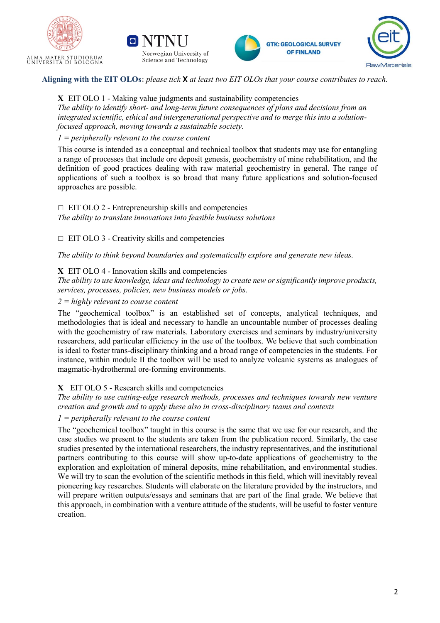







Aligning with the EIT OLOs: please tick **X** at least two EIT OLOs that your course contributes to reach.

**X** EIT OLO 1 - Making value judgments and sustainability competencies *The ability to identify short- and long-term future consequences of plans and decisions from an integrated scientific, ethical and intergenerational perspective and to merge this into a solutionfocused approach, moving towards a sustainable society.*

*1 = peripherally relevant to the course content*

This course is intended as a conceptual and technical toolbox that students may use for entangling a range of processes that include ore deposit genesis, geochemistry of mine rehabilitation, and the definition of good practices dealing with raw material geochemistry in general. The range of applications of such a toolbox is so broad that many future applications and solution-focused approaches are possible.

# $\Box$  EIT OLO 2 - Entrepreneurship skills and competencies

*The ability to translate innovations into feasible business solutions*

 $\Box$  EIT OLO 3 - Creativity skills and competencies

*The ability to think beyond boundaries and systematically explore and generate new ideas.*

#### **X** EIT OLO 4 - Innovation skills and competencies

*The ability to use knowledge, ideas and technology to create new or significantly improve products, services, processes, policies, new business models or jobs.*

*2 = highly relevant to course content*

The "geochemical toolbox" is an established set of concepts, analytical techniques, and methodologies that is ideal and necessary to handle an uncountable number of processes dealing with the geochemistry of raw materials. Laboratory exercises and seminars by industry/university researchers, add particular efficiency in the use of the toolbox. We believe that such combination is ideal to foster trans-disciplinary thinking and a broad range of competencies in the students. For instance, within module II the toolbox will be used to analyze volcanic systems as analogues of magmatic-hydrothermal ore-forming environments.

## **X** EIT OLO 5 - Research skills and competencies

*The ability to use cutting-edge research methods, processes and techniques towards new venture creation and growth and to apply these also in cross-disciplinary teams and contexts*

#### *1 = peripherally relevant to the course content*

The "geochemical toolbox" taught in this course is the same that we use for our research, and the case studies we present to the students are taken from the publication record. Similarly, the case studies presented by the international researchers, the industry representatives, and the institutional partners contributing to this course will show up-to-date applications of geochemistry to the exploration and exploitation of mineral deposits, mine rehabilitation, and environmental studies. We will try to scan the evolution of the scientific methods in this field, which will inevitably reveal pioneering key researches. Students will elaborate on the literature provided by the instructors, and will prepare written outputs/essays and seminars that are part of the final grade. We believe that this approach, in combination with a venture attitude of the students, will be useful to foster venture creation.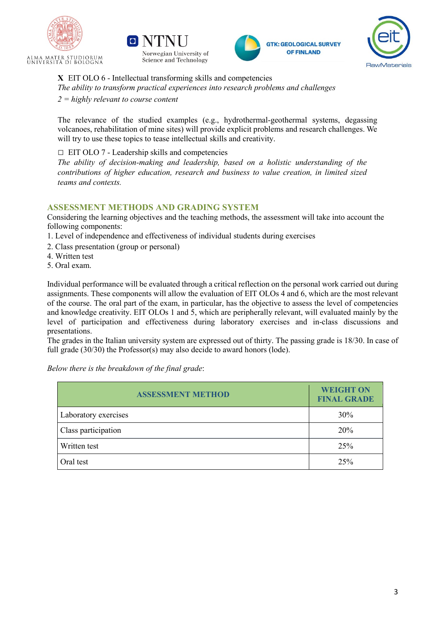







**X** EIT OLO 6 - Intellectual transforming skills and competencies *The ability to transform practical experiences into research problems and challenges 2 = highly relevant to course content*

The relevance of the studied examples (e.g., hydrothermal-geothermal systems, degassing volcanoes, rehabilitation of mine sites) will provide explicit problems and research challenges. We will try to use these topics to tease intellectual skills and creativity.

 $\Box$  EIT OLO 7 - Leadership skills and competencies

*The ability of decision-making and leadership, based on a holistic understanding of the contributions of higher education, research and business to value creation, in limited sized teams and contexts.*

#### **ASSESSMENT METHODS AND GRADING SYSTEM**

Considering the learning objectives and the teaching methods, the assessment will take into account the following components:

- 1. Level of independence and effectiveness of individual students during exercises
- 2. Class presentation (group or personal)
- 4. Written test
- 5. Oral exam.

Individual performance will be evaluated through a critical reflection on the personal work carried out during assignments. These components will allow the evaluation of EIT OLOs 4 and 6, which are the most relevant of the course. The oral part of the exam, in particular, has the objective to assess the level of competencies and knowledge creativity. EIT OLOs 1 and 5, which are peripherally relevant, will evaluated mainly by the level of participation and effectiveness during laboratory exercises and in-class discussions and presentations.

The grades in the Italian university system are expressed out of thirty. The passing grade is 18/30. In case of full grade (30/30) the Professor(s) may also decide to award honors (lode).

*Below there is the breakdown of the final grade*:

| <b>ASSESSMENT METHOD</b> | <b>WEIGHT ON</b><br><b>FINAL GRADE</b> |
|--------------------------|----------------------------------------|
| Laboratory exercises     | 30%                                    |
| Class participation      | 20%                                    |
| Written test             | 25%                                    |
| Oral test                | 25%                                    |